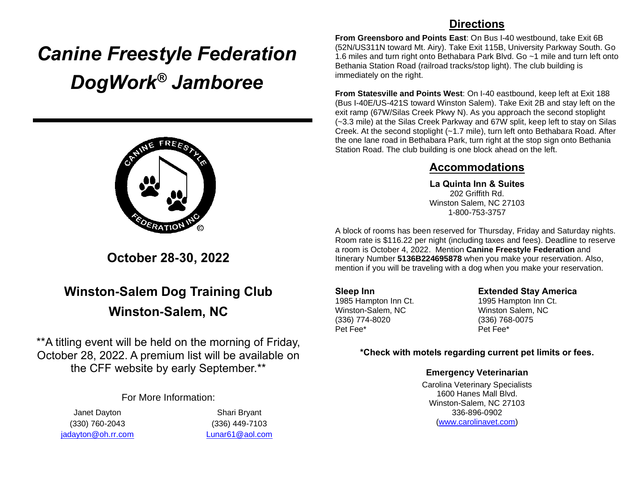# *Canine Freestyle Federation DogWork® Jamboree*



**October 28-30, 2022**

# **Winston-Salem Dog Training Club Winston-Salem, NC**

\*\*A titling event will be held on the morning of Friday, October 28, 2022. A premium list will be available on the CFF website by early September.\*\*

For More Information:

Janet Dayton (330) 760-2043 [jadayton@oh.rr.com](mailto:jadayton@oh.rr.com)

Shari Bryant (336) 449-7103 [Lunar61@aol.com](mailto:Lunar61@aol.com)

### **Directions**

**From Greensboro and Points East**: On Bus I-40 westbound, take Exit 6B (52N/US311N toward Mt. Airy). Take Exit 115B, University Parkway South. Go 1.6 miles and turn right onto Bethabara Park Blvd. Go ~1 mile and turn left onto Bethania Station Road (railroad tracks/stop light). The club building is immediately on the right.

**From Statesville and Points West**: On I-40 eastbound, keep left at Exit 188 (Bus I-40E/US-421S toward Winston Salem). Take Exit 2B and stay left on the exit ramp (67W/Silas Creek Pkwy N). As you approach the second stoplight (~3.3 mile) at the Silas Creek Parkway and 67W split, keep left to stay on Silas Creek. At the second stoplight (~1.7 mile), turn left onto Bethabara Road. After the one lane road in Bethabara Park, turn right at the stop sign onto Bethania Station Road. The club building is one block ahead on the left.

### **Accommodations**

**La Quinta Inn & Suites** 202 Griffith Rd. Winston Salem, NC 27103 1-800-753-3757

A block of rooms has been reserved for Thursday, Friday and Saturday nights. Room rate is \$116.22 per night (including taxes and fees). Deadline to reserve a room is October 4, 2022. Mention **Canine Freestyle Federation** and Itinerary Number **5136B224695878** when you make your reservation. Also, mention if you will be traveling with a dog when you make your reservation.

**Sleep Inn** 1985 Hampton Inn Ct. Winston-Salem, NC (336) 774-8020 Pet Fee\*

**Extended Stay America**

1995 Hampton Inn Ct. Winston Salem, NC (336) 768-0075 Pet Fee\*

#### **\*Check with motels regarding current pet limits or fees.**

#### **Emergency Veterinarian**

Carolina Veterinary Specialists 1600 Hanes Mall Blvd. Winston-Salem, NC 27103 336-896-0902 [\(www.carolinavet.com\)](http://www.carolinavet.com/)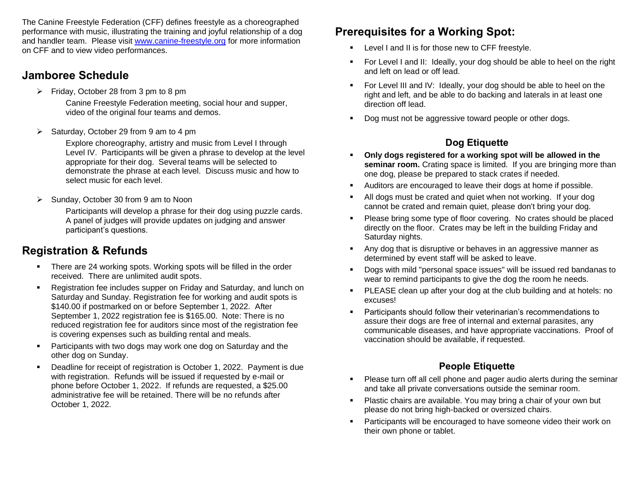The Canine Freestyle Federation (CFF) defines freestyle as a choreographed performance with music, illustrating the training and joyful relationship of a dog and handler team. Please visit [www.canine-freestyle.org](http://www.canine-freestyle.org/) for more information on CFF and to view video performances.

## **Jamboree Schedule**

➢ Friday, October 28 from 3 pm to 8 pm

Canine Freestyle Federation meeting, social hour and supper, video of the original four teams and demos.

➢ Saturday, October 29 from 9 am to 4 pm

Explore choreography, artistry and music from Level I through Level IV. Participants will be given a phrase to develop at the level appropriate for their dog. Several teams will be selected to demonstrate the phrase at each level. Discuss music and how to select music for each level.

➢ Sunday, October 30 from 9 am to Noon

Participants will develop a phrase for their dog using puzzle cards. A panel of judges will provide updates on judging and answer participant's questions.

# **Registration & Refunds**

- There are 24 working spots. Working spots will be filled in the order received. There are unlimited audit spots.
- Registration fee includes supper on Friday and Saturday, and lunch on Saturday and Sunday. Registration fee for working and audit spots is \$140.00 if postmarked on or before September 1, 2022. After September 1, 2022 registration fee is \$165.00. Note: There is no reduced registration fee for auditors since most of the registration fee is covering expenses such as building rental and meals.
- Participants with two dogs may work one dog on Saturday and the other dog on Sunday.
- Deadline for receipt of registration is October 1, 2022. Payment is due with registration. Refunds will be issued if requested by e-mail or phone before October 1, 2022. If refunds are requested, a \$25.00 administrative fee will be retained. There will be no refunds after October 1, 2022.

# **Prerequisites for a Working Spot:**

- **EXECTE:** Level I and II is for those new to CFF freestyle.
- For Level I and II: Ideally, your dog should be able to heel on the right and left on lead or off lead.
- For Level III and IV: Ideally, your dog should be able to heel on the right and left, and be able to do backing and laterals in at least one direction off lead.
- Dog must not be aggressive toward people or other dogs.

# **Dog Etiquette**

- Only dogs registered for a working spot will be allowed in the **seminar room.** Crating space is limited. If you are bringing more than one dog, please be prepared to stack crates if needed.
- Auditors are encouraged to leave their dogs at home if possible.
- All dogs must be crated and quiet when not working. If your dog cannot be crated and remain quiet, please don't bring your dog.
- Please bring some type of floor covering. No crates should be placed directly on the floor. Crates may be left in the building Friday and Saturday nights.
- Any dog that is disruptive or behaves in an aggressive manner as determined by event staff will be asked to leave.
- Dogs with mild "personal space issues" will be issued red bandanas to wear to remind participants to give the dog the room he needs.
- PLEASE clean up after your dog at the club building and at hotels: no excuses!
- Participants should follow their veterinarian's recommendations to assure their dogs are free of internal and external parasites, any communicable diseases, and have appropriate vaccinations. Proof of vaccination should be available, if requested.

### **People Etiquette**

- Please turn off all cell phone and pager audio alerts during the seminar and take all private conversations outside the seminar room.
- Plastic chairs are available. You may bring a chair of your own but please do not bring high-backed or oversized chairs.
- Participants will be encouraged to have someone video their work on their own phone or tablet.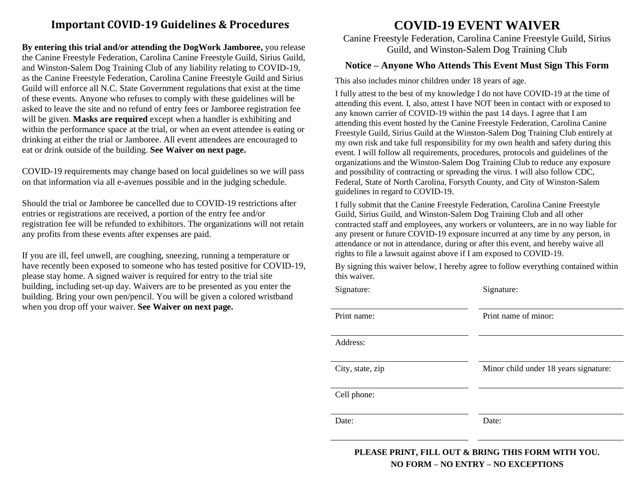### **Important COVID-19 Guidelines & Procedures**

**By entering this trial and/or attending the DogWork Jamboree,** you release the Canine Freestyle Federation, Carolina Canine Freestyle Guild, Sirius Guild, and Winston-Salem Dog Training Club of any liability relating to COVID-19, as the Canine Freestyle Federation, Carolina Canine Freestyle Guild and Sirius Guild will enforce all N.C. State Government regulations that exist at the time of these events. Anyone who refuses to comply with these guidelines will be asked to leave the site and no refund of entry fees or Jamboree registration fee will be given. **Masks are required** except when a handler is exhibiting and within the performance space at the trial, or when an event attendee is eating or drinking at either the trial or Jamboree. All event attendees are encouraged to eat or drink outside of the building. **See Waiver on next page.** 

COVID-19 requirements may change based on local guidelines so we will pass on that information via all e-avenues possible and in the judging schedule.

Should the trial or Jamboree be cancelled due to COVID-19 restrictions after entries or registrations are received, a portion of the entry fee and/or registration fee will be refunded to exhibitors. The organizations will not retain any profits from these events after expenses are paid.

If you are ill, feel unwell, are coughing, sneezing, running a temperature or have recently been exposed to someone who has tested positive for COVID-19, please stay home. A signed waiver is required for entry to the trial site building, including set-up day. Waivers are to be presented as you enter the building. Bring your own pen/pencil. You will be given a colored wristband when you drop off your waiver. **See Waiver on next page.** 

# **COVID-19 EVENT WAIVER**

Canine Freestyle Federation, Carolina Canine Freestyle Guild, Sirius Guild, and Winston-Salem Dog Training Club

#### **Notice – Anyone Who Attends This Event Must Sign This Form**

This also includes minor children under 18 years of age.

I fully attest to the best of my knowledge I do not have COVID-19 at the time of attending this event. I, also, attest I have NOT been in contact with or exposed to any known carrier of COVID-19 within the past 14 days. I agree that I am attending this event hosted by the Canine Freestyle Federation, Carolina Canine Freestyle Guild, Sirius Guild at the Winston-Salem Dog Training Club entirely at my own risk and take full responsibility for my own health and safety during this event. I will follow all requirements, procedures, protocols and guidelines of the organizations and the Winston-Salem Dog Training Club to reduce any exposure and possibility of contracting or spreading the virus. I will also follow CDC, Federal, State of North Carolina, Forsyth County, and City of Winston-Salem guidelines in regard to COVID-19.

I fully submit that the Canine Freestyle Federation, Carolina Canine Freestyle Guild, Sirius Guild, and Winston-Salem Dog Training Club and all other contracted staff and employees, any workers or volunteers, are in no way liable for any present or future COVID-19 exposure incurred at any time by any person, in attendance or not in attendance, during or after this event, and hereby waive all rights to file a lawsuit against above if I am exposed to COVID-19.

By signing this waiver below, I hereby agree to follow everything contained within this waiver.

| Signature:       | Signature:                            |
|------------------|---------------------------------------|
| Print name:      | Print name of minor:                  |
| Address:         |                                       |
| City, state, zip | Minor child under 18 years signature: |
| Cell phone:      |                                       |
| Date:            | Date:                                 |
|                  |                                       |

**PLEASE PRINT, FILL OUT & BRING THIS FORM WITH YOU. NO FORM – NO ENTRY – NO EXCEPTIONS**